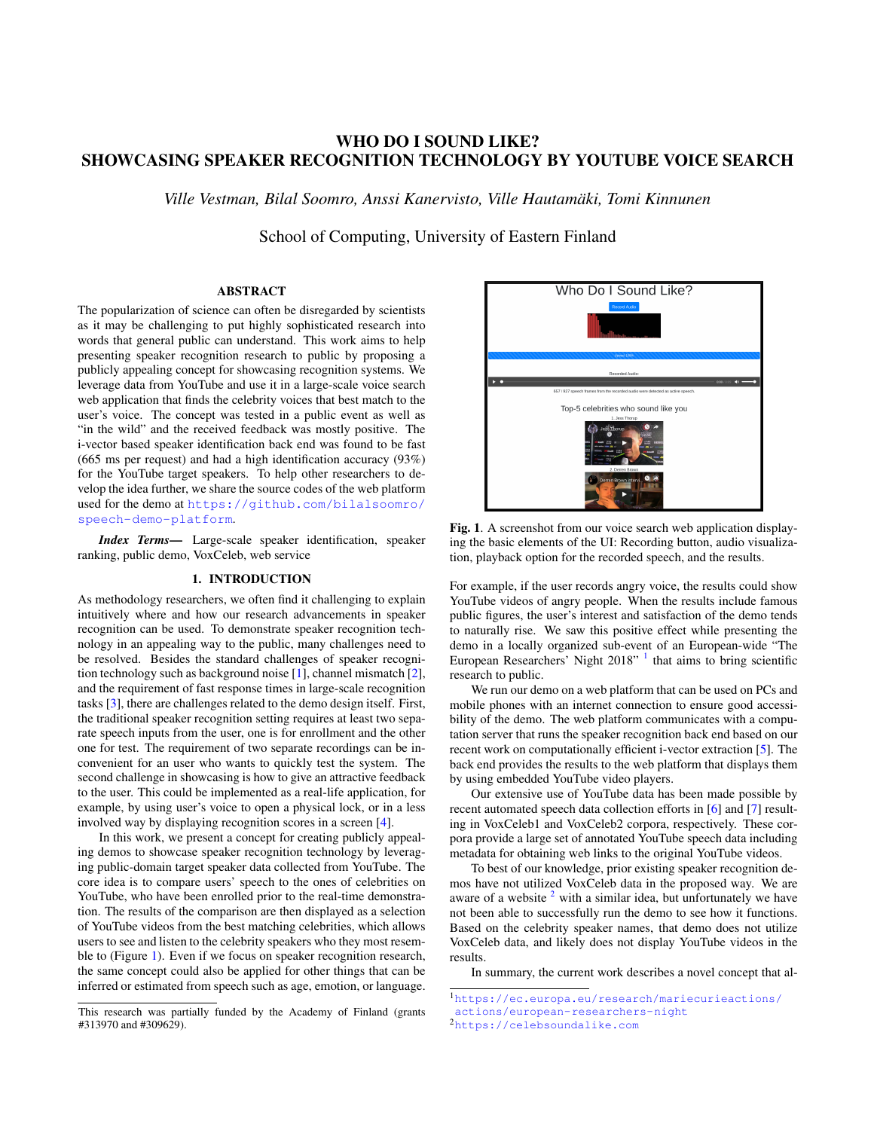# WHO DO I SOUND LIKE? SHOWCASING SPEAKER RECOGNITION TECHNOLOGY BY YOUTUBE VOICE SEARCH

*Ville Vestman, Bilal Soomro, Anssi Kanervisto, Ville Hautamaki, Tomi Kinnunen ¨*

School of Computing, University of Eastern Finland

# ABSTRACT

The popularization of science can often be disregarded by scientists as it may be challenging to put highly sophisticated research into words that general public can understand. This work aims to help presenting speaker recognition research to public by proposing a publicly appealing concept for showcasing recognition systems. We leverage data from YouTube and use it in a large-scale voice search web application that finds the celebrity voices that best match to the user's voice. The concept was tested in a public event as well as "in the wild" and the received feedback was mostly positive. The i-vector based speaker identification back end was found to be fast (665 ms per request) and had a high identification accuracy (93%) for the YouTube target speakers. To help other researchers to develop the idea further, we share the source codes of the web platform used for the demo at [https://github.com/bilalsoomro/](https://github.com/bilalsoomro/speech-demo-platform) [speech-demo-platform](https://github.com/bilalsoomro/speech-demo-platform).

*Index Terms*— Large-scale speaker identification, speaker ranking, public demo, VoxCeleb, web service

## 1. INTRODUCTION

As methodology researchers, we often find it challenging to explain intuitively where and how our research advancements in speaker recognition can be used. To demonstrate speaker recognition technology in an appealing way to the public, many challenges need to be resolved. Besides the standard challenges of speaker recognition technology such as background noise [\[1\]](#page-4-0), channel mismatch [\[2\]](#page-4-1), and the requirement of fast response times in large-scale recognition tasks [\[3\]](#page-4-2), there are challenges related to the demo design itself. First, the traditional speaker recognition setting requires at least two separate speech inputs from the user, one is for enrollment and the other one for test. The requirement of two separate recordings can be inconvenient for an user who wants to quickly test the system. The second challenge in showcasing is how to give an attractive feedback to the user. This could be implemented as a real-life application, for example, by using user's voice to open a physical lock, or in a less involved way by displaying recognition scores in a screen [\[4\]](#page-4-3).

In this work, we present a concept for creating publicly appealing demos to showcase speaker recognition technology by leveraging public-domain target speaker data collected from YouTube. The core idea is to compare users' speech to the ones of celebrities on YouTube, who have been enrolled prior to the real-time demonstration. The results of the comparison are then displayed as a selection of YouTube videos from the best matching celebrities, which allows users to see and listen to the celebrity speakers who they most resemble to (Figure [1\)](#page-0-0). Even if we focus on speaker recognition research, the same concept could also be applied for other things that can be inferred or estimated from speech such as age, emotion, or language.



Fig. 1. A screenshot from our voice search web application displaying the basic elements of the UI: Recording button, audio visualization, playback option for the recorded speech, and the results.

<span id="page-0-0"></span>For example, if the user records angry voice, the results could show YouTube videos of angry people. When the results include famous public figures, the user's interest and satisfaction of the demo tends to naturally rise. We saw this positive effect while presenting the demo in a locally organized sub-event of an European-wide "The European Researchers' Night 2018"<sup>1</sup> that aims to bring scientific research to public.

We run our demo on a web platform that can be used on PCs and mobile phones with an internet connection to ensure good accessibility of the demo. The web platform communicates with a computation server that runs the speaker recognition back end based on our recent work on computationally efficient i-vector extraction [\[5\]](#page-4-4). The back end provides the results to the web platform that displays them by using embedded YouTube video players.

Our extensive use of YouTube data has been made possible by recent automated speech data collection efforts in [\[6\]](#page-4-5) and [\[7\]](#page-4-6) resulting in VoxCeleb1 and VoxCeleb2 corpora, respectively. These corpora provide a large set of annotated YouTube speech data including metadata for obtaining web links to the original YouTube videos.

To best of our knowledge, prior existing speaker recognition demos have not utilized VoxCeleb data in the proposed way. We are aware of a website  $2$  with a similar idea, but unfortunately we have not been able to successfully run the demo to see how it functions. Based on the celebrity speaker names, that demo does not utilize VoxCeleb data, and likely does not display YouTube videos in the results.

In summary, the current work describes a novel concept that al-

This research was partially funded by the Academy of Finland (grants #313970 and #309629).

<sup>1</sup>[https://ec.europa.eu/research/mariecurieactions/](https://ec.europa.eu/research/mariecurieactions/actions/european-researchers-night) [actions/european-researchers-night](https://ec.europa.eu/research/mariecurieactions/actions/european-researchers-night)

<sup>2</sup><https://celebsoundalike.com>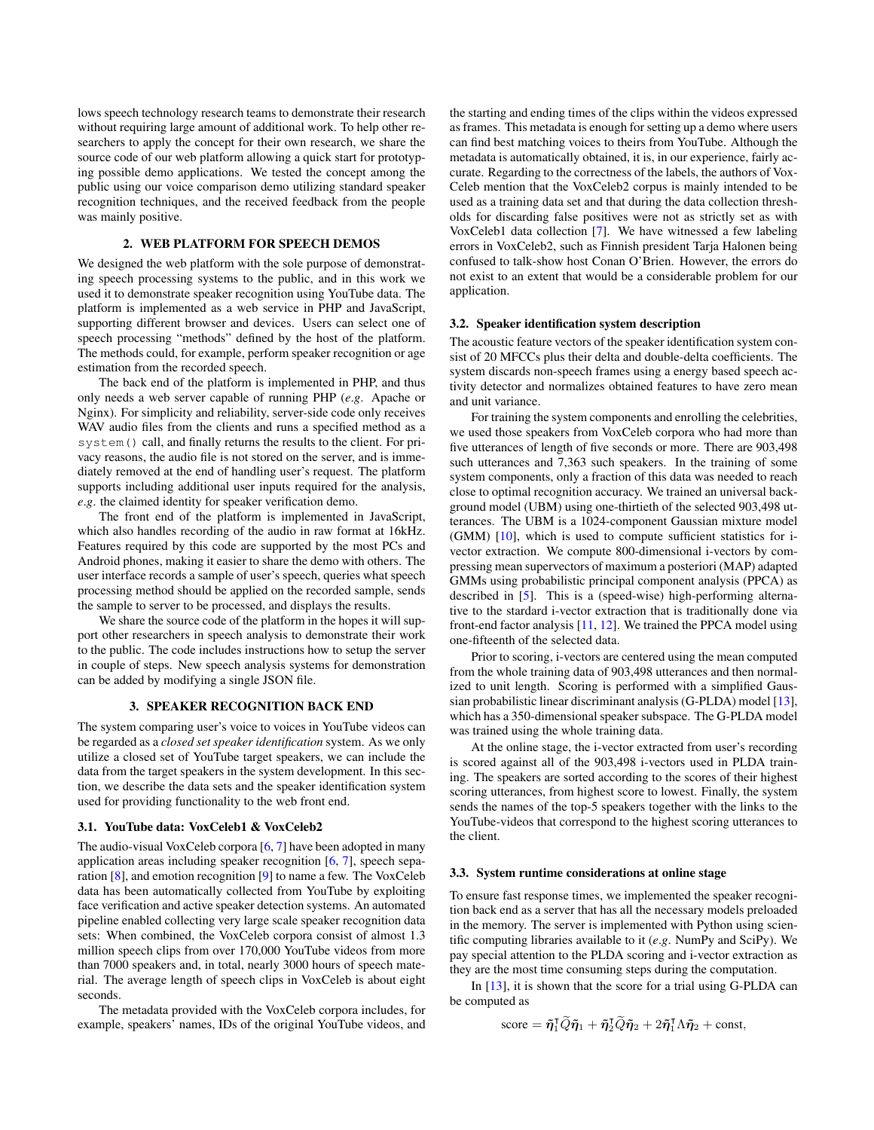lows speech technology research teams to demonstrate their research without requiring large amount of additional work. To help other researchers to apply the concept for their own research, we share the source code of our web platform allowing a quick start for prototyping possible demo applications. We tested the concept among the public using our voice comparison demo utilizing standard speaker recognition techniques, and the received feedback from the people was mainly positive.

# 2. WEB PLATFORM FOR SPEECH DEMOS

We designed the web platform with the sole purpose of demonstrating speech processing systems to the public, and in this work we used it to demonstrate speaker recognition using YouTube data. The platform is implemented as a web service in PHP and JavaScript, supporting different browser and devices. Users can select one of speech processing "methods" defined by the host of the platform. The methods could, for example, perform speaker recognition or age estimation from the recorded speech.

The back end of the platform is implemented in PHP, and thus only needs a web server capable of running PHP (*e*.*g*. Apache or Nginx). For simplicity and reliability, server-side code only receives WAV audio files from the clients and runs a specified method as a system() call, and finally returns the results to the client. For privacy reasons, the audio file is not stored on the server, and is immediately removed at the end of handling user's request. The platform supports including additional user inputs required for the analysis, *e*.*g*. the claimed identity for speaker verification demo.

The front end of the platform is implemented in JavaScript, which also handles recording of the audio in raw format at 16kHz. Features required by this code are supported by the most PCs and Android phones, making it easier to share the demo with others. The user interface records a sample of user's speech, queries what speech processing method should be applied on the recorded sample, sends the sample to server to be processed, and displays the results.

We share the source code of the platform in the hopes it will support other researchers in speech analysis to demonstrate their work to the public. The code includes instructions how to setup the server in couple of steps. New speech analysis systems for demonstration can be added by modifying a single JSON file.

### 3. SPEAKER RECOGNITION BACK END

The system comparing user's voice to voices in YouTube videos can be regarded as a *closed set speaker identification* system. As we only utilize a closed set of YouTube target speakers, we can include the data from the target speakers in the system development. In this section, we describe the data sets and the speaker identification system used for providing functionality to the web front end.

#### 3.1. YouTube data: VoxCeleb1 & VoxCeleb2

The audio-visual VoxCeleb corpora [\[6,](#page-4-5) [7\]](#page-4-6) have been adopted in many application areas including speaker recognition [\[6,](#page-4-5) [7\]](#page-4-6), speech separation [\[8\]](#page-4-7), and emotion recognition [\[9\]](#page-4-8) to name a few. The VoxCeleb data has been automatically collected from YouTube by exploiting face verification and active speaker detection systems. An automated pipeline enabled collecting very large scale speaker recognition data sets: When combined, the VoxCeleb corpora consist of almost 1.3 million speech clips from over 170,000 YouTube videos from more than 7000 speakers and, in total, nearly 3000 hours of speech material. The average length of speech clips in VoxCeleb is about eight seconds.

The metadata provided with the VoxCeleb corpora includes, for example, speakers' names, IDs of the original YouTube videos, and the starting and ending times of the clips within the videos expressed as frames. This metadata is enough for setting up a demo where users can find best matching voices to theirs from YouTube. Although the metadata is automatically obtained, it is, in our experience, fairly accurate. Regarding to the correctness of the labels, the authors of Vox-Celeb mention that the VoxCeleb2 corpus is mainly intended to be used as a training data set and that during the data collection thresholds for discarding false positives were not as strictly set as with VoxCeleb1 data collection [\[7\]](#page-4-6). We have witnessed a few labeling errors in VoxCeleb2, such as Finnish president Tarja Halonen being confused to talk-show host Conan O'Brien. However, the errors do not exist to an extent that would be a considerable problem for our application.

#### 3.2. Speaker identification system description

The acoustic feature vectors of the speaker identification system consist of 20 MFCCs plus their delta and double-delta coefficients. The system discards non-speech frames using a energy based speech activity detector and normalizes obtained features to have zero mean and unit variance.

For training the system components and enrolling the celebrities, we used those speakers from VoxCeleb corpora who had more than five utterances of length of five seconds or more. There are 903,498 such utterances and 7,363 such speakers. In the training of some system components, only a fraction of this data was needed to reach close to optimal recognition accuracy. We trained an universal background model (UBM) using one-thirtieth of the selected 903,498 utterances. The UBM is a 1024-component Gaussian mixture model (GMM) [\[10\]](#page-4-9), which is used to compute sufficient statistics for ivector extraction. We compute 800-dimensional i-vectors by compressing mean supervectors of maximum a posteriori (MAP) adapted GMMs using probabilistic principal component analysis (PPCA) as described in [\[5\]](#page-4-4). This is a (speed-wise) high-performing alternative to the stardard i-vector extraction that is traditionally done via front-end factor analysis [\[11,](#page-4-10) [12\]](#page-4-11). We trained the PPCA model using one-fifteenth of the selected data.

Prior to scoring, i-vectors are centered using the mean computed from the whole training data of 903,498 utterances and then normalized to unit length. Scoring is performed with a simplified Gaussian probabilistic linear discriminant analysis (G-PLDA) model [\[13\]](#page-4-12), which has a 350-dimensional speaker subspace. The G-PLDA model was trained using the whole training data.

At the online stage, the i-vector extracted from user's recording is scored against all of the 903,498 i-vectors used in PLDA training. The speakers are sorted according to the scores of their highest scoring utterances, from highest score to lowest. Finally, the system sends the names of the top-5 speakers together with the links to the YouTube-videos that correspond to the highest scoring utterances to the client.

## 3.3. System runtime considerations at online stage

To ensure fast response times, we implemented the speaker recognition back end as a server that has all the necessary models preloaded in the memory. The server is implemented with Python using scientific computing libraries available to it (*e*.*g*. NumPy and SciPy). We pay special attention to the PLDA scoring and i-vector extraction as they are the most time consuming steps during the computation.

In [\[13\]](#page-4-12), it is shown that the score for a trial using G-PLDA can be computed as

score = 
$$
\tilde{\eta}_1^T \tilde{Q} \tilde{\eta}_1 + \tilde{\eta}_2^T \tilde{Q} \tilde{\eta}_2 + 2 \tilde{\eta}_1^T \Lambda \tilde{\eta}_2 + \text{const},
$$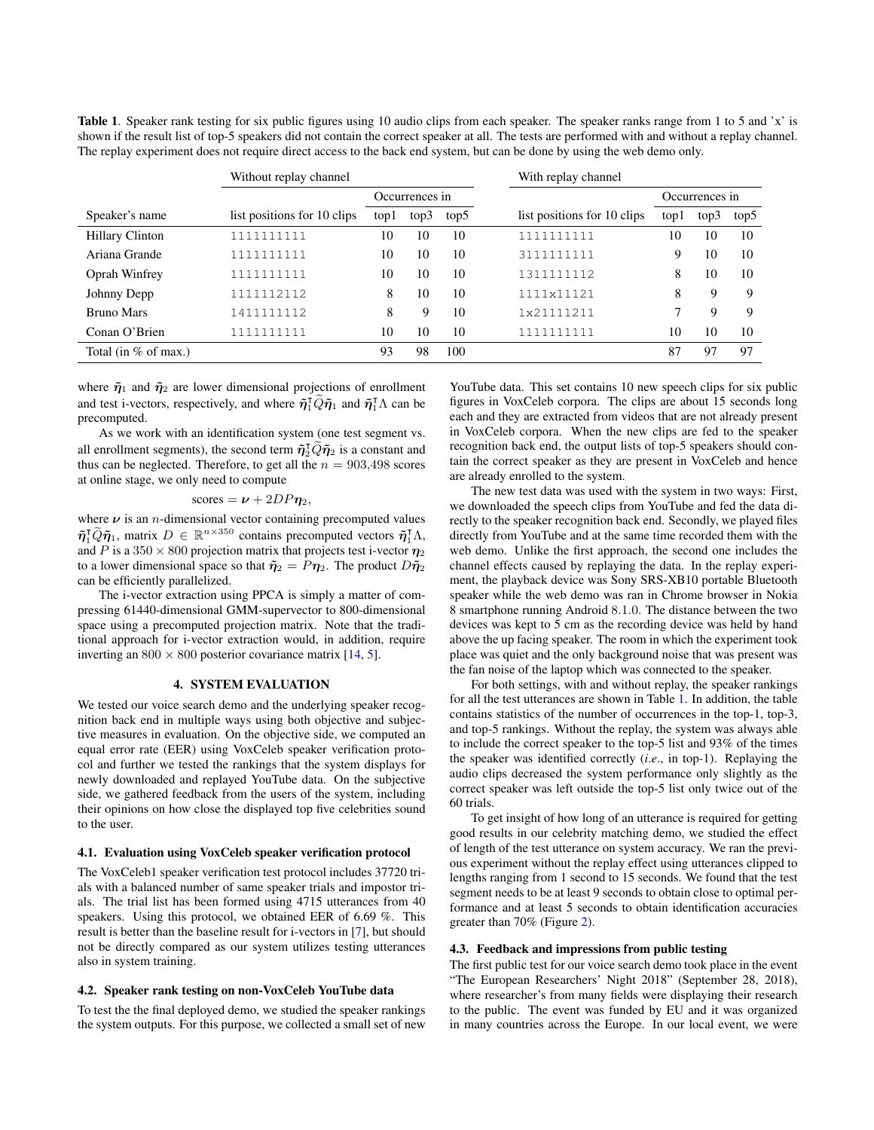<span id="page-2-0"></span>

|  |  |  |  | Table 1. Speaker rank testing for six public figures using 10 audio clips from each speaker. The speaker ranks range from 1 to 5 and 'x' is       |  |
|--|--|--|--|---------------------------------------------------------------------------------------------------------------------------------------------------|--|
|  |  |  |  | shown if the result list of top-5 speakers did not contain the correct speaker at all. The tests are performed with and without a replay channel. |  |
|  |  |  |  | The replay experiment does not require direct access to the back end system, but can be done by using the web demo only.                          |  |

|                        | Without replay channel      |                |      |      | With replay channel         |      |                |      |
|------------------------|-----------------------------|----------------|------|------|-----------------------------|------|----------------|------|
|                        |                             | Occurrences in |      |      |                             |      | Occurrences in |      |
| Speaker's name         | list positions for 10 clips | topl           | top3 | top5 | list positions for 10 clips | top1 | top3           | top5 |
| <b>Hillary Clinton</b> | 1111111111                  | 10             | 10   | 10   | 1111111111                  | 10   | 10             | 10   |
| Ariana Grande          | 1111111111                  | 10             | 10   | 10   | 3111111111                  | 9    | 10             | 10   |
| Oprah Winfrey          | 1111111111                  | 10             | 10   | 10   | 1311111112                  | 8    | 10             | 10   |
| Johnny Depp            | 1111112112                  | 8              | 10   | 10   | 1111x11121                  | 8    | 9              | 9    |
| <b>Bruno Mars</b>      | 1411111112                  | 8              | 9    | 10   | 1x21111211                  |      | 9              | 9    |
| Conan O'Brien          | 1111111111                  | 10             | 10   | 10   | 1111111111                  | 10   | 10             | 10   |
| Total (in $%$ of max.) |                             | 93             | 98   | 100  |                             | 87   | -97            | 97   |

where  $\tilde{\eta}_1$  and  $\tilde{\eta}_2$  are lower dimensional projections of enrollment and test i-vectors, respectively, and where  $\tilde{\eta}_1^T \tilde{Q} \tilde{\eta}_1$  and  $\tilde{\eta}_1^T \Lambda$  can be precomputed.

As we work with an identification system (one test segment vs. all enrollment segments), the second term  $\tilde{\eta}_2^T \tilde{Q} \tilde{\eta}_2$  is a constant and thus can be neglected. Therefore, to get all the  $n = 903,498$  scores at online stage, we only need to compute

## scores =  $\nu + 2DP\eta_2$ ,

where  $\nu$  is an *n*-dimensional vector containing precomputed values  $\tilde{\eta}_1^T \widetilde{Q} \tilde{\eta}_1$ , matrix  $D \in \mathbb{R}^{n \times 350}$  contains precomputed vectors  $\tilde{\eta}_1^T \Lambda$ , and P is a 350  $\times$  800 projection matrix that projects test i-vector  $\eta_2$ to a lower dimensional space so that  $\tilde{\eta}_2 = P \eta_2$ . The product  $D \tilde{\eta}_2$ can be efficiently parallelized.

The i-vector extraction using PPCA is simply a matter of compressing 61440-dimensional GMM-supervector to 800-dimensional space using a precomputed projection matrix. Note that the traditional approach for i-vector extraction would, in addition, require inverting an  $800 \times 800$  posterior covariance matrix [\[14,](#page-4-13) [5\]](#page-4-4).

## 4. SYSTEM EVALUATION

We tested our voice search demo and the underlying speaker recognition back end in multiple ways using both objective and subjective measures in evaluation. On the objective side, we computed an equal error rate (EER) using VoxCeleb speaker verification protocol and further we tested the rankings that the system displays for newly downloaded and replayed YouTube data. On the subjective side, we gathered feedback from the users of the system, including their opinions on how close the displayed top five celebrities sound to the user.

## 4.1. Evaluation using VoxCeleb speaker verification protocol

The VoxCeleb1 speaker verification test protocol includes 37720 trials with a balanced number of same speaker trials and impostor trials. The trial list has been formed using 4715 utterances from 40 speakers. Using this protocol, we obtained EER of 6.69 %. This result is better than the baseline result for i-vectors in [\[7\]](#page-4-6), but should not be directly compared as our system utilizes testing utterances also in system training.

#### 4.2. Speaker rank testing on non-VoxCeleb YouTube data

To test the the final deployed demo, we studied the speaker rankings the system outputs. For this purpose, we collected a small set of new YouTube data. This set contains 10 new speech clips for six public figures in VoxCeleb corpora. The clips are about 15 seconds long each and they are extracted from videos that are not already present in VoxCeleb corpora. When the new clips are fed to the speaker recognition back end, the output lists of top-5 speakers should contain the correct speaker as they are present in VoxCeleb and hence are already enrolled to the system.

The new test data was used with the system in two ways: First, we downloaded the speech clips from YouTube and fed the data directly to the speaker recognition back end. Secondly, we played files directly from YouTube and at the same time recorded them with the web demo. Unlike the first approach, the second one includes the channel effects caused by replaying the data. In the replay experiment, the playback device was Sony SRS-XB10 portable Bluetooth speaker while the web demo was ran in Chrome browser in Nokia 8 smartphone running Android 8.1.0. The distance between the two devices was kept to 5 cm as the recording device was held by hand above the up facing speaker. The room in which the experiment took place was quiet and the only background noise that was present was the fan noise of the laptop which was connected to the speaker.

For both settings, with and without replay, the speaker rankings for all the test utterances are shown in Table [1.](#page-2-0) In addition, the table contains statistics of the number of occurrences in the top-1, top-3, and top-5 rankings. Without the replay, the system was always able to include the correct speaker to the top-5 list and 93% of the times the speaker was identified correctly (*i*.*e*., in top-1). Replaying the audio clips decreased the system performance only slightly as the correct speaker was left outside the top-5 list only twice out of the 60 trials.

To get insight of how long of an utterance is required for getting good results in our celebrity matching demo, we studied the effect of length of the test utterance on system accuracy. We ran the previous experiment without the replay effect using utterances clipped to lengths ranging from 1 second to 15 seconds. We found that the test segment needs to be at least 9 seconds to obtain close to optimal performance and at least 5 seconds to obtain identification accuracies greater than 70% (Figure [2\)](#page-3-0).

## 4.3. Feedback and impressions from public testing

The first public test for our voice search demo took place in the event "The European Researchers' Night 2018" (September 28, 2018), where researcher's from many fields were displaying their research to the public. The event was funded by EU and it was organized in many countries across the Europe. In our local event, we were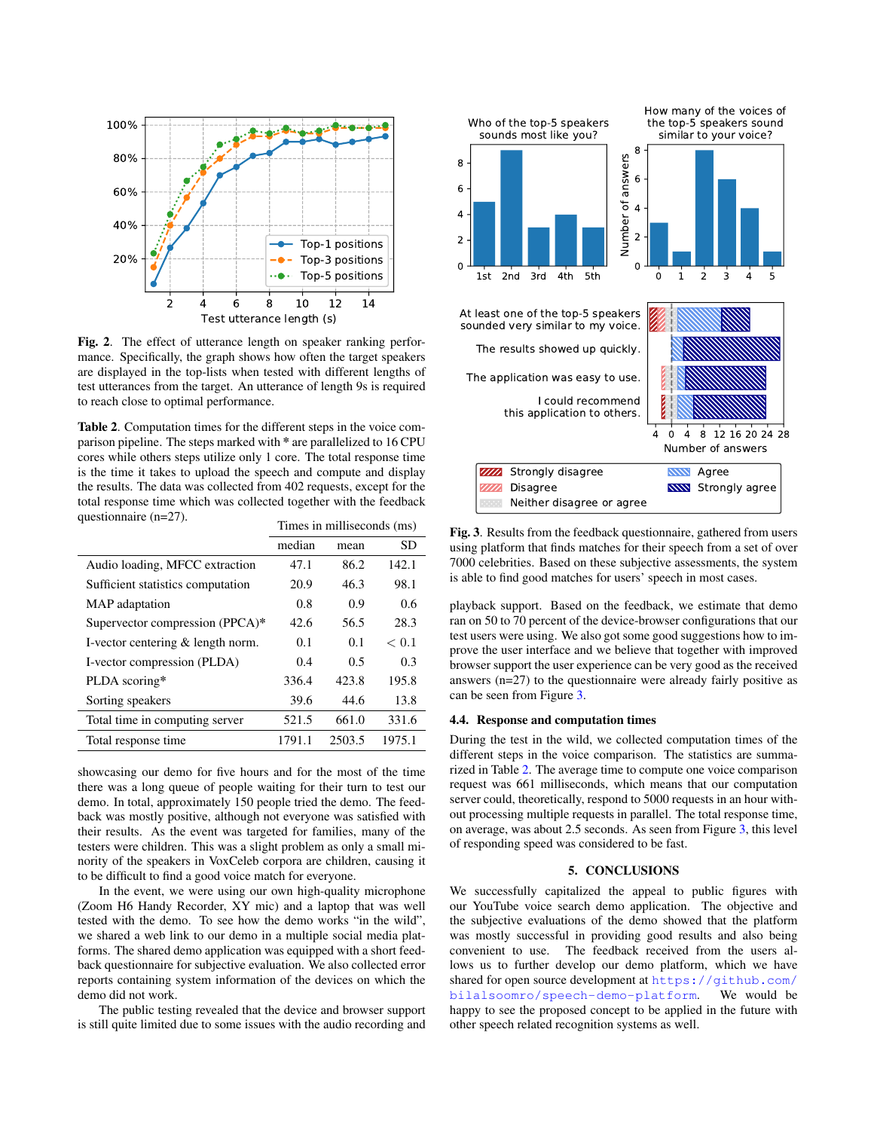

<span id="page-3-0"></span>Fig. 2. The effect of utterance length on speaker ranking performance. Specifically, the graph shows how often the target speakers are displayed in the top-lists when tested with different lengths of test utterances from the target. An utterance of length 9s is required to reach close to optimal performance.

<span id="page-3-2"></span>Table 2. Computation times for the different steps in the voice comparison pipeline. The steps marked with \* are parallelized to 16 CPU cores while others steps utilize only 1 core. The total response time is the time it takes to upload the speech and compute and display the results. The data was collected from 402 requests, except for the total response time which was collected together with the feedback questionnaire (n=27). Times in milliseconds (ms)

|                                   | median | mean   | <b>SD</b> |
|-----------------------------------|--------|--------|-----------|
| Audio loading, MFCC extraction    | 47.1   | 86.2   | 142.1     |
| Sufficient statistics computation | 20.9   | 46.3   | 98.1      |
| MAP adaptation                    | 0.8    | 0.9    | 0.6       |
| Supervector compression (PPCA)*   | 42.6   | 56.5   | 28.3      |
| I-vector centering & length norm. | 0.1    | 0.1    | < 0.1     |
| I-vector compression (PLDA)       | 0.4    | 0.5    | 0.3       |
| PLDA scoring*                     | 336.4  | 423.8  | 195.8     |
| Sorting speakers                  | 39.6   | 44.6   | 13.8      |
| Total time in computing server    | 521.5  | 661.0  | 331.6     |
| Total response time               | 1791.1 | 2503.5 | 1975.1    |

showcasing our demo for five hours and for the most of the time there was a long queue of people waiting for their turn to test our demo. In total, approximately 150 people tried the demo. The feedback was mostly positive, although not everyone was satisfied with their results. As the event was targeted for families, many of the testers were children. This was a slight problem as only a small minority of the speakers in VoxCeleb corpora are children, causing it to be difficult to find a good voice match for everyone.

In the event, we were using our own high-quality microphone (Zoom H6 Handy Recorder, XY mic) and a laptop that was well tested with the demo. To see how the demo works "in the wild", we shared a web link to our demo in a multiple social media platforms. The shared demo application was equipped with a short feedback questionnaire for subjective evaluation. We also collected error reports containing system information of the devices on which the demo did not work.

The public testing revealed that the device and browser support is still quite limited due to some issues with the audio recording and



<span id="page-3-1"></span>Fig. 3. Results from the feedback questionnaire, gathered from users using platform that finds matches for their speech from a set of over 7000 celebrities. Based on these subjective assessments, the system is able to find good matches for users' speech in most cases.

playback support. Based on the feedback, we estimate that demo ran on 50 to 70 percent of the device-browser configurations that our test users were using. We also got some good suggestions how to improve the user interface and we believe that together with improved browser support the user experience can be very good as the received answers (n=27) to the questionnaire were already fairly positive as can be seen from Figure [3.](#page-3-1)

## 4.4. Response and computation times

During the test in the wild, we collected computation times of the different steps in the voice comparison. The statistics are summarized in Table [2.](#page-3-2) The average time to compute one voice comparison request was 661 milliseconds, which means that our computation server could, theoretically, respond to 5000 requests in an hour without processing multiple requests in parallel. The total response time, on average, was about 2.5 seconds. As seen from Figure [3,](#page-3-1) this level of responding speed was considered to be fast.

# 5. CONCLUSIONS

We successfully capitalized the appeal to public figures with our YouTube voice search demo application. The objective and the subjective evaluations of the demo showed that the platform was mostly successful in providing good results and also being convenient to use. The feedback received from the users allows us to further develop our demo platform, which we have shared for open source development at [https://github.com/](https://github.com/bilalsoomro/speech-demo-platform) [bilalsoomro/speech-demo-platform](https://github.com/bilalsoomro/speech-demo-platform). We would be happy to see the proposed concept to be applied in the future with other speech related recognition systems as well.